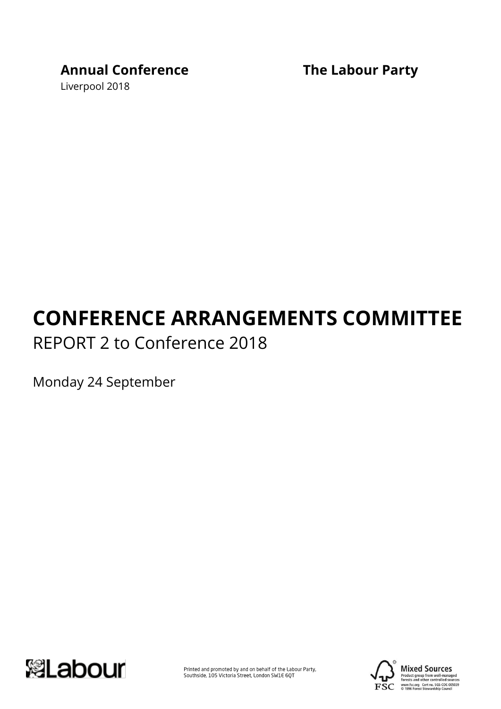# **Annual Conference The Labour Party**

Liverpool 2018

# **CONFERENCE ARRANGEMENTS COMMITTEE** REPORT 2 to Conference 2018

Monday 24 September



Printed and promoted by and on behalf of the Labour Party,<br>Southside, 105 Victoria Street, London SW1E 6QT



**Mixed Sources** Product group from well-managed<br>forests and other controlled sources www.fsc.org Cert no. SGS-COC-005039<br>© 1996 Forest Stewardship Council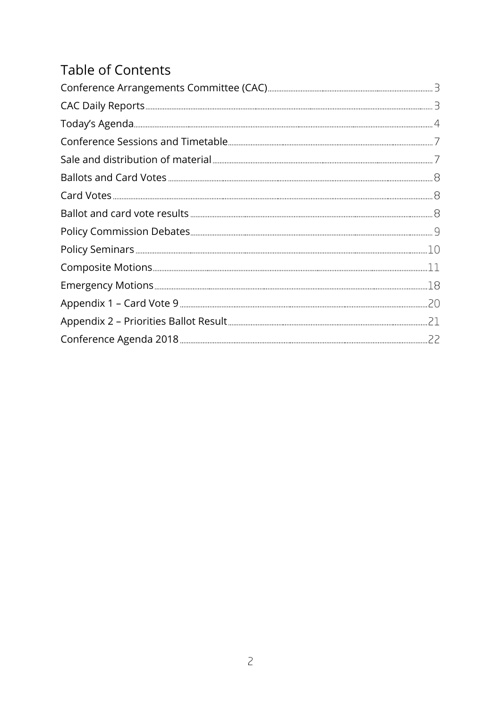# Table of Contents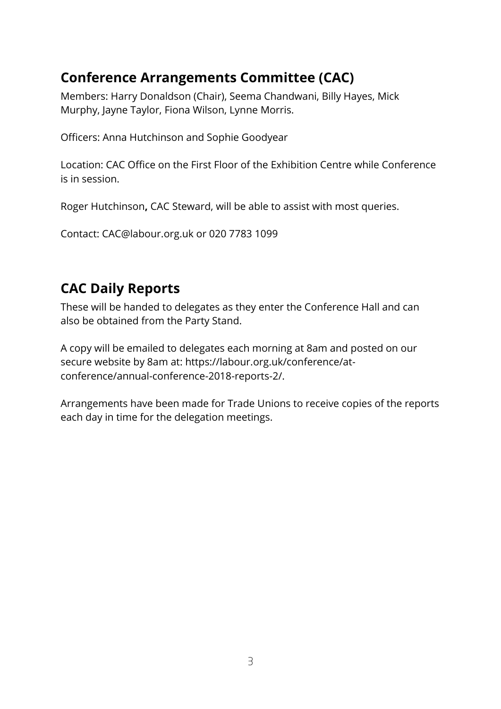# <span id="page-2-0"></span>**Conference Arrangements Committee (CAC)**

Members: Harry Donaldson (Chair), Seema Chandwani, Billy Hayes, Mick Murphy, Jayne Taylor, Fiona Wilson, Lynne Morris.

Officers: Anna Hutchinson and Sophie Goodyear

Location: CAC Office on the First Floor of the Exhibition Centre while Conference is in session.

Roger Hutchinson**,** CAC Steward, will be able to assist with most queries.

Contact: [CAC@labour.org.uk](mailto:CAC@labour.org.uk) or 020 7783 1099

### <span id="page-2-1"></span>**CAC Daily Reports**

These will be handed to delegates as they enter the Conference Hall and can also be obtained from the Party Stand.

A copy will be emailed to delegates each morning at 8am and posted on our secure website by 8am at: https://labour.org.uk/conference/atconference/annual-conference-2018-reports-2/.

Arrangements have been made for Trade Unions to receive copies of the reports each day in time for the delegation meetings.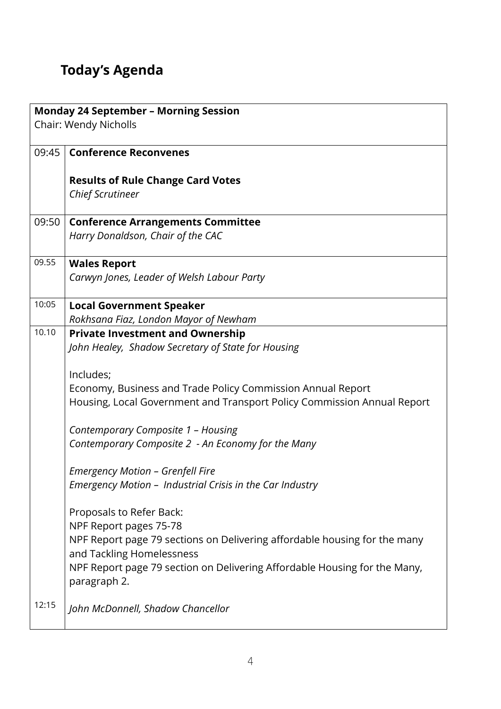# <span id="page-3-0"></span>**Today's Agenda**

| <b>Monday 24 September - Morning Session</b> |                                                                                                        |  |  |  |
|----------------------------------------------|--------------------------------------------------------------------------------------------------------|--|--|--|
|                                              | Chair: Wendy Nicholls                                                                                  |  |  |  |
| 09:45                                        | <b>Conference Reconvenes</b>                                                                           |  |  |  |
|                                              |                                                                                                        |  |  |  |
|                                              | <b>Results of Rule Change Card Votes</b><br><b>Chief Scrutineer</b>                                    |  |  |  |
|                                              |                                                                                                        |  |  |  |
| 09:50                                        | <b>Conference Arrangements Committee</b>                                                               |  |  |  |
|                                              | Harry Donaldson, Chair of the CAC                                                                      |  |  |  |
| 09.55                                        | <b>Wales Report</b>                                                                                    |  |  |  |
|                                              | Carwyn Jones, Leader of Welsh Labour Party                                                             |  |  |  |
| 10:05                                        | <b>Local Government Speaker</b>                                                                        |  |  |  |
|                                              | Rokhsana Fiaz, London Mayor of Newham                                                                  |  |  |  |
| 10.10                                        | <b>Private Investment and Ownership</b>                                                                |  |  |  |
|                                              | John Healey, Shadow Secretary of State for Housing                                                     |  |  |  |
|                                              | Includes;                                                                                              |  |  |  |
|                                              | Economy, Business and Trade Policy Commission Annual Report                                            |  |  |  |
|                                              | Housing, Local Government and Transport Policy Commission Annual Report                                |  |  |  |
|                                              | Contemporary Composite 1 - Housing                                                                     |  |  |  |
|                                              | Contemporary Composite 2 - An Economy for the Many                                                     |  |  |  |
|                                              | Emergency Motion - Grenfell Fire                                                                       |  |  |  |
|                                              | Emergency Motion - Industrial Crisis in the Car Industry                                               |  |  |  |
|                                              | Proposals to Refer Back:                                                                               |  |  |  |
|                                              | NPF Report pages 75-78                                                                                 |  |  |  |
|                                              | NPF Report page 79 sections on Delivering affordable housing for the many                              |  |  |  |
|                                              | and Tackling Homelessness<br>NPF Report page 79 section on Delivering Affordable Housing for the Many, |  |  |  |
|                                              | paragraph 2.                                                                                           |  |  |  |
| 12:15                                        | John McDonnell, Shadow Chancellor                                                                      |  |  |  |
|                                              |                                                                                                        |  |  |  |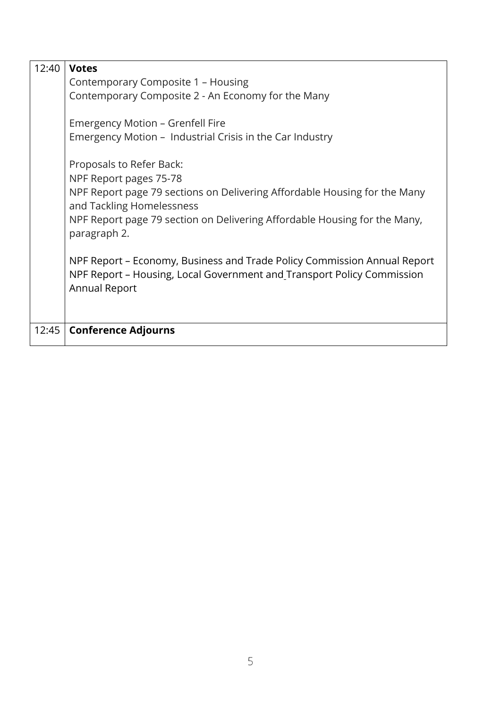| 12:40 | <b>Votes</b>                                                                                                                                                               |
|-------|----------------------------------------------------------------------------------------------------------------------------------------------------------------------------|
|       | Contemporary Composite 1 - Housing                                                                                                                                         |
|       | Contemporary Composite 2 - An Economy for the Many                                                                                                                         |
|       | Emergency Motion - Grenfell Fire                                                                                                                                           |
|       | Emergency Motion – Industrial Crisis in the Car Industry                                                                                                                   |
|       | Proposals to Refer Back:<br>NPF Report pages 75-78                                                                                                                         |
|       | NPF Report page 79 sections on Delivering Affordable Housing for the Many<br>and Tackling Homelessness                                                                     |
|       | NPF Report page 79 section on Delivering Affordable Housing for the Many,<br>paragraph 2.                                                                                  |
|       | NPF Report – Economy, Business and Trade Policy Commission Annual Report<br>NPF Report - Housing, Local Government and Transport Policy Commission<br><b>Annual Report</b> |
|       |                                                                                                                                                                            |
| 12:45 | <b>Conference Adjourns</b>                                                                                                                                                 |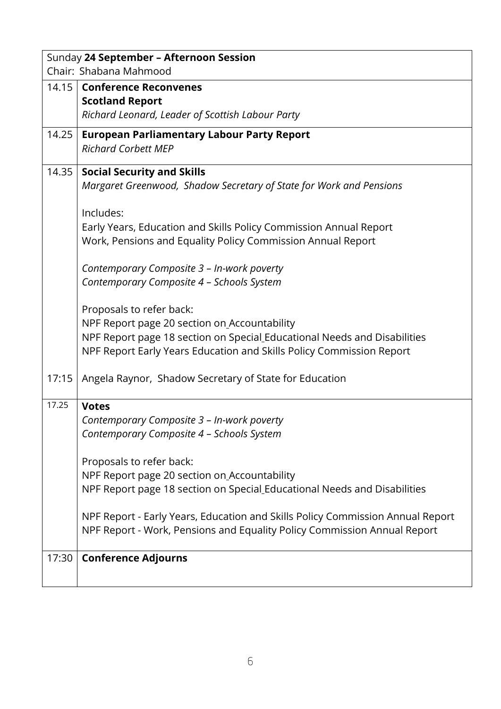|       | Sunday 24 September - Afternoon Session                                        |
|-------|--------------------------------------------------------------------------------|
|       | Chair: Shabana Mahmood                                                         |
| 14.15 | <b>Conference Reconvenes</b>                                                   |
|       | <b>Scotland Report</b>                                                         |
|       | Richard Leonard, Leader of Scottish Labour Party                               |
| 14.25 | <b>European Parliamentary Labour Party Report</b>                              |
|       | <b>Richard Corbett MEP</b>                                                     |
| 14.35 | <b>Social Security and Skills</b>                                              |
|       | Margaret Greenwood, Shadow Secretary of State for Work and Pensions            |
|       |                                                                                |
|       | Includes:                                                                      |
|       | Early Years, Education and Skills Policy Commission Annual Report              |
|       | Work, Pensions and Equality Policy Commission Annual Report                    |
|       |                                                                                |
|       | Contemporary Composite 3 - In-work poverty                                     |
|       | Contemporary Composite 4 - Schools System                                      |
|       |                                                                                |
|       | Proposals to refer back:                                                       |
|       | NPF Report page 20 section on Accountability                                   |
|       | NPF Report page 18 section on Special Educational Needs and Disabilities       |
|       | NPF Report Early Years Education and Skills Policy Commission Report           |
|       |                                                                                |
| 17:15 | Angela Raynor, Shadow Secretary of State for Education                         |
| 17.25 |                                                                                |
|       | <b>Votes</b>                                                                   |
|       | Contemporary Composite 3 - In-work poverty                                     |
|       | Contemporary Composite 4 - Schools System                                      |
|       | Proposals to refer back:                                                       |
|       | NPF Report page 20 section on Accountability                                   |
|       | NPF Report page 18 section on Special Educational Needs and Disabilities       |
|       |                                                                                |
|       | NPF Report - Early Years, Education and Skills Policy Commission Annual Report |
|       | NPF Report - Work, Pensions and Equality Policy Commission Annual Report       |
|       |                                                                                |
| 17:30 | <b>Conference Adjourns</b>                                                     |
|       |                                                                                |
|       |                                                                                |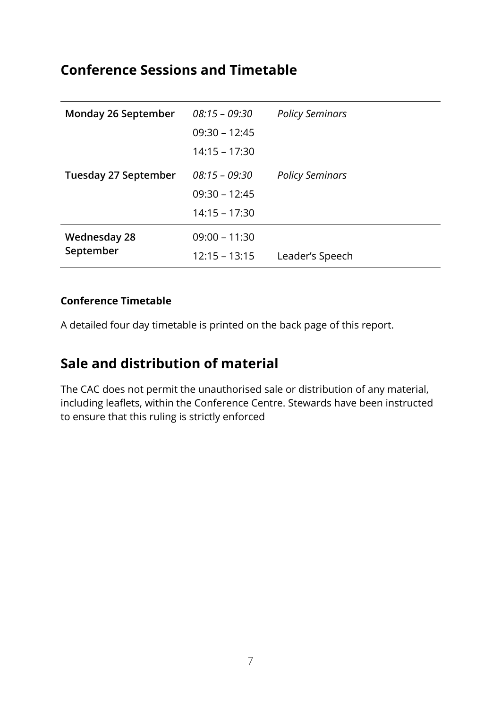### <span id="page-6-0"></span>**Conference Sessions and Timetable**

| <b>Monday 26 September</b> | $08:15 - 09:30$ | <b>Policy Seminars</b> |
|----------------------------|-----------------|------------------------|
|                            | $09:30 - 12:45$ |                        |
|                            | $14:15 - 17:30$ |                        |
| Tuesday 27 September       | $08:15 - 09:30$ | <b>Policy Seminars</b> |
|                            | $09:30 - 12:45$ |                        |
|                            | $14:15 - 17:30$ |                        |
| <b>Wednesday 28</b>        | $09:00 - 11:30$ |                        |
| September                  | $12:15 - 13:15$ | Leader's Speech        |

#### **Conference Timetable**

A detailed four day timetable is printed on the back page of this report.

## <span id="page-6-1"></span>**Sale and distribution of material**

The CAC does not permit the unauthorised sale or distribution of any material, including leaflets, within the Conference Centre. Stewards have been instructed to ensure that this ruling is strictly enforced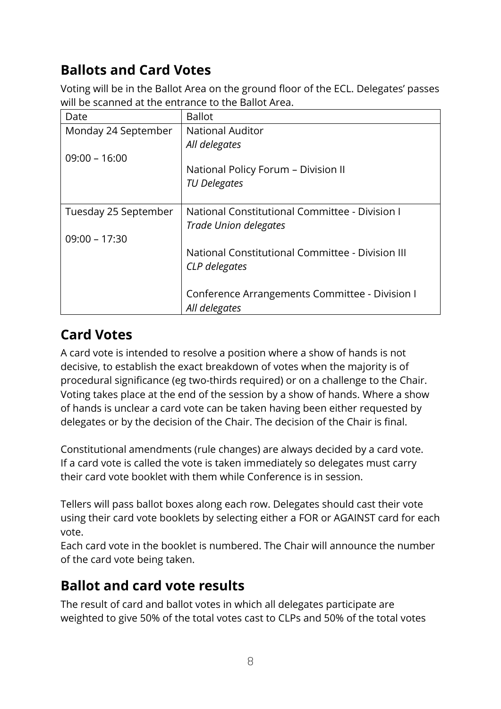# <span id="page-7-0"></span>**Ballots and Card Votes**

Voting will be in the Ballot Area on the ground floor of the ECL. Delegates' passes will be scanned at the entrance to the Ballot Area.

| Date                 | <b>Ballot</b>                                    |
|----------------------|--------------------------------------------------|
| Monday 24 September  | <b>National Auditor</b>                          |
|                      | All delegates                                    |
| $09:00 - 16:00$      |                                                  |
|                      | National Policy Forum - Division II              |
|                      | <b>TU Delegates</b>                              |
|                      |                                                  |
| Tuesday 25 September | National Constitutional Committee - Division I   |
|                      | Trade Union delegates                            |
| $09:00 - 17:30$      |                                                  |
|                      | National Constitutional Committee - Division III |
|                      | CLP delegates                                    |
|                      |                                                  |
|                      | Conference Arrangements Committee - Division I   |
|                      | All delegates                                    |

# <span id="page-7-1"></span>**Card Votes**

A card vote is intended to resolve a position where a show of hands is not decisive, to establish the exact breakdown of votes when the majority is of procedural significance (eg two-thirds required) or on a challenge to the Chair. Voting takes place at the end of the session by a show of hands. Where a show of hands is unclear a card vote can be taken having been either requested by delegates or by the decision of the Chair. The decision of the Chair is final.

Constitutional amendments (rule changes) are always decided by a card vote. If a card vote is called the vote is taken immediately so delegates must carry their card vote booklet with them while Conference is in session.

Tellers will pass ballot boxes along each row. Delegates should cast their vote using their card vote booklets by selecting either a FOR or AGAINST card for each vote.

Each card vote in the booklet is numbered. The Chair will announce the number of the card vote being taken.

# <span id="page-7-2"></span>**Ballot and card vote results**

The result of card and ballot votes in which all delegates participate are weighted to give 50% of the total votes cast to CLPs and 50% of the total votes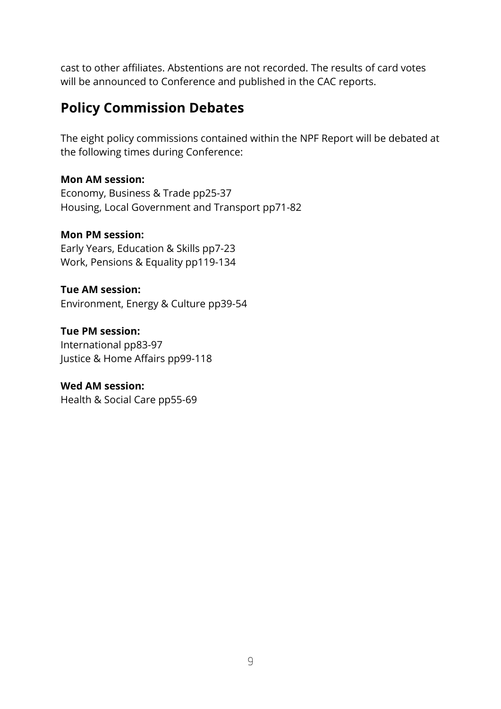cast to other affiliates. Abstentions are not recorded. The results of card votes will be announced to Conference and published in the CAC reports.

### <span id="page-8-0"></span>**Policy Commission Debates**

The eight policy commissions contained within the NPF Report will be debated at the following times during Conference:

#### **Mon AM session:**

Economy, Business & Trade pp25-37 Housing, Local Government and Transport pp71-82

### **Mon PM session:**

Early Years, Education & Skills pp7-23 Work, Pensions & Equality pp119-134

#### **Tue AM session:** Environment, Energy & Culture pp39-54

**Tue PM session:** International pp83-97 Justice & Home Affairs pp99-118

#### **Wed AM session:** Health & Social Care pp55-69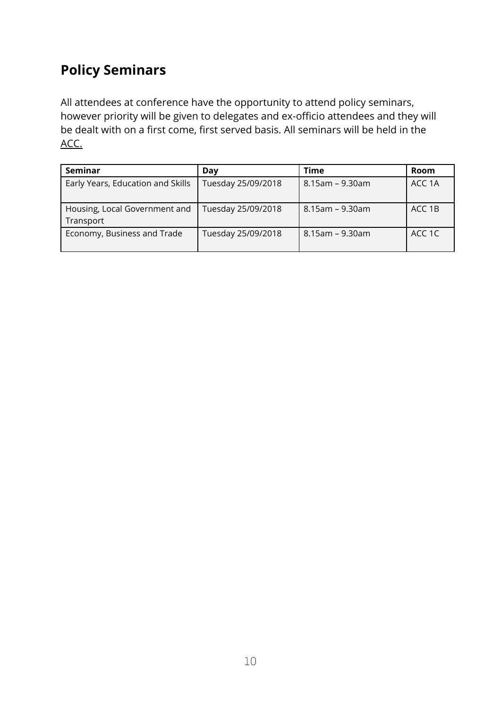# <span id="page-9-0"></span>**Policy Seminars**

All attendees at conference have the opportunity to attend policy seminars, however priority will be given to delegates and ex-officio attendees and they will be dealt with on a first come, first served basis. All seminars will be held in the ACC.

| <b>Seminar</b>                             | Day                | Time            | Room   |
|--------------------------------------------|--------------------|-----------------|--------|
| Early Years, Education and Skills          | Tuesday 25/09/2018 | 8.15am – 9.30am | ACC 1A |
| Housing, Local Government and<br>Transport | Tuesday 25/09/2018 | 8.15am – 9.30am | ACC 1B |
| Economy, Business and Trade                | Tuesday 25/09/2018 | 8.15am – 9.30am | ACC 1C |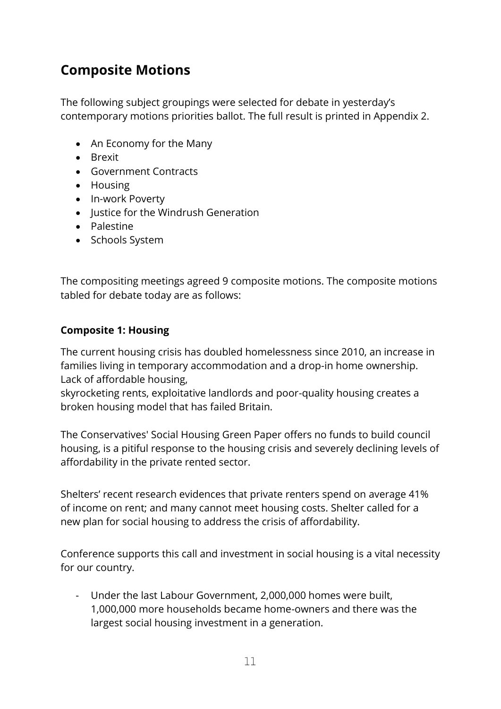# <span id="page-10-0"></span>**Composite Motions**

The following subject groupings were selected for debate in yesterday's contemporary motions priorities ballot. The full result is printed in Appendix 2.

- An Economy for the Many
- **•** Brexit
- Government Contracts
- Housing
- In-work Poverty
- Iustice for the Windrush Generation
- Palestine
- Schools System

The compositing meetings agreed 9 composite motions. The composite motions tabled for debate today are as follows:

### **Composite 1: Housing**

The current housing crisis has doubled homelessness since 2010, an increase in families living in temporary accommodation and a drop-in home ownership. Lack of affordable housing,

skyrocketing rents, exploitative landlords and poor-quality housing creates a broken housing model that has failed Britain.

The Conservatives' Social Housing Green Paper offers no funds to build council housing, is a pitiful response to the housing crisis and severely declining levels of affordability in the private rented sector.

Shelters' recent research evidences that private renters spend on average 41% of income on rent; and many cannot meet housing costs. Shelter called for a new plan for social housing to address the crisis of affordability.

Conference supports this call and investment in social housing is a vital necessity for our country.

Under the last Labour Government, 2,000,000 homes were built, 1,000,000 more households became home-owners and there was the largest social housing investment in a generation.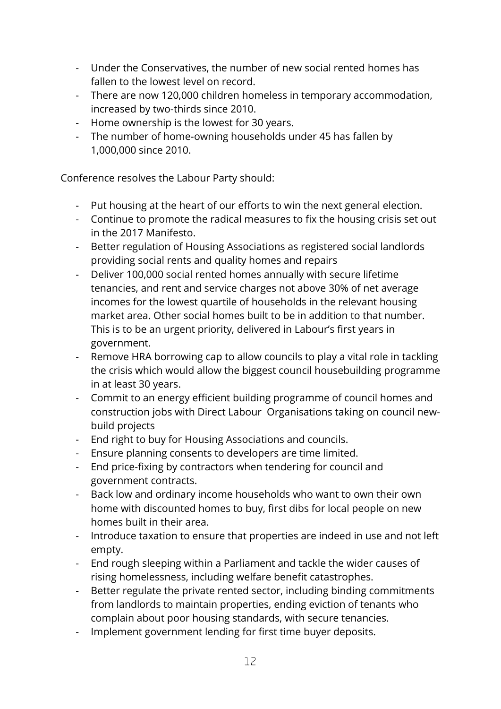- Under the Conservatives, the number of new social rented homes has fallen to the lowest level on record.
- There are now 120,000 children homeless in temporary accommodation, increased by two-thirds since 2010.
- Home ownership is the lowest for 30 years.
- The number of home-owning households under 45 has fallen by 1,000,000 since 2010.

Conference resolves the Labour Party should:

- Put housing at the heart of our efforts to win the next general election.
- Continue to promote the radical measures to fix the housing crisis set out in the 2017 Manifesto.
- Better regulation of Housing Associations as registered social landlords providing social rents and quality homes and repairs
- Deliver 100,000 social rented homes annually with secure lifetime tenancies, and rent and service charges not above 30% of net average incomes for the lowest quartile of households in the relevant housing market area. Other social homes built to be in addition to that number. This is to be an urgent priority, delivered in Labour's first years in government.
- Remove HRA borrowing cap to allow councils to play a vital role in tackling the crisis which would allow the biggest council housebuilding programme in at least 30 years.
- Commit to an energy efficient building programme of council homes and construction jobs with Direct Labour Organisations taking on council newbuild projects
- End right to buy for Housing Associations and councils.
- Ensure planning consents to developers are time limited.
- End price-fixing by contractors when tendering for council and government contracts.
- Back low and ordinary income households who want to own their own home with discounted homes to buy, first dibs for local people on new homes built in their area.
- Introduce taxation to ensure that properties are indeed in use and not left empty.
- End rough sleeping within a Parliament and tackle the wider causes of rising homelessness, including welfare benefit catastrophes.
- Better regulate the private rented sector, including binding commitments from landlords to maintain properties, ending eviction of tenants who complain about poor housing standards, with secure tenancies.
- Implement government lending for first time buyer deposits.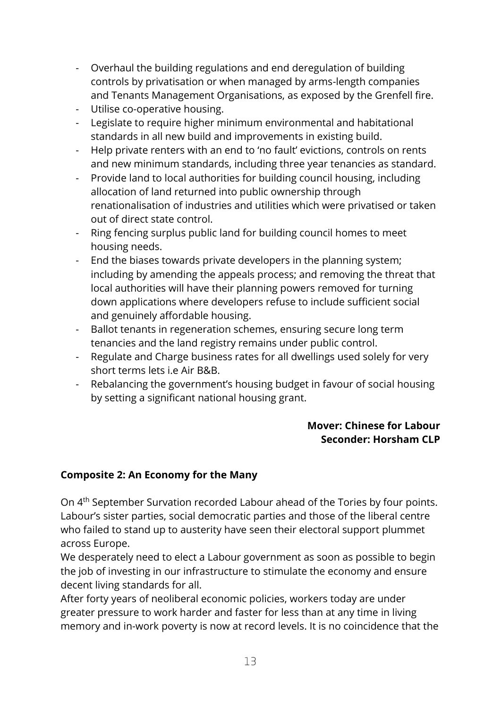- Overhaul the building regulations and end deregulation of building controls by privatisation or when managed by arms-length companies and Tenants Management Organisations, as exposed by the Grenfell fire.
- Utilise co-operative housing.
- Legislate to require higher minimum environmental and habitational standards in all new build and improvements in existing build.
- Help private renters with an end to 'no fault' evictions, controls on rents and new minimum standards, including three year tenancies as standard.
- Provide land to local authorities for building council housing, including allocation of land returned into public ownership through renationalisation of industries and utilities which were privatised or taken out of direct state control.
- Ring fencing surplus public land for building council homes to meet housing needs.
- End the biases towards private developers in the planning system; including by amending the appeals process; and removing the threat that local authorities will have their planning powers removed for turning down applications where developers refuse to include sufficient social and genuinely affordable housing.
- Ballot tenants in regeneration schemes, ensuring secure long term tenancies and the land registry remains under public control.
- Regulate and Charge business rates for all dwellings used solely for very short terms lets i.e Air B&B.
- Rebalancing the government's housing budget in favour of social housing by setting a significant national housing grant.

### **Mover: Chinese for Labour Seconder: Horsham CLP**

### **Composite 2: An Economy for the Many**

On 4th September Survation recorded Labour ahead of the Tories by four points. Labour's sister parties, social democratic parties and those of the liberal centre who failed to stand up to austerity have seen their electoral support plummet across Europe.

We desperately need to elect a Labour government as soon as possible to begin the job of investing in our infrastructure to stimulate the economy and ensure decent living standards for all.

After forty years of neoliberal economic policies, workers today are under greater pressure to work harder and faster for less than at any time in living memory and in-work poverty is now at record levels. It is no coincidence that the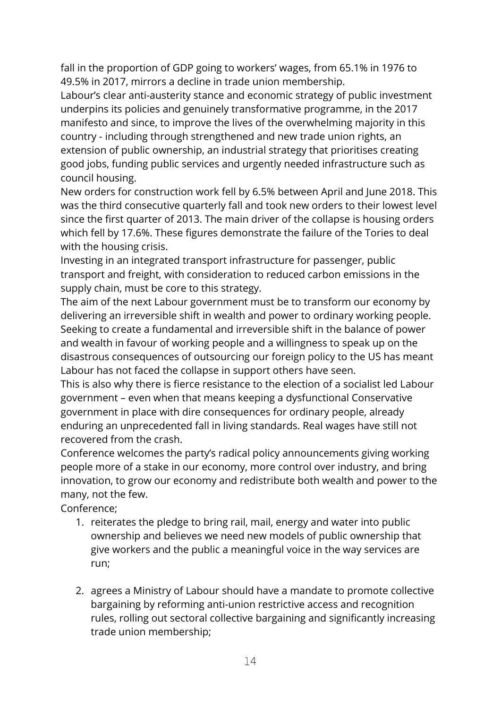fall in the proportion of GDP going to workers' wages, from 65.1% in 1976 to 49.5% in 2017, mirrors a decline in trade union membership.

Labour's clear anti-austerity stance and economic strategy of public investment underpins its policies and genuinely transformative programme, in the 2017 manifesto and since, to improve the lives of the overwhelming majority in this country - including through strengthened and new trade union rights, an extension of public ownership, an industrial strategy that prioritises creating good jobs, funding public services and urgently needed infrastructure such as council housing.

New orders for construction work fell by 6.5% between April and June 2018. This was the third consecutive quarterly fall and took new orders to their lowest level since the first quarter of 2013. The main driver of the collapse is housing orders which fell by 17.6%. These figures demonstrate the failure of the Tories to deal with the housing crisis.

Investing in an integrated transport infrastructure for passenger, public transport and freight, with consideration to reduced carbon emissions in the supply chain, must be core to this strategy.

The aim of the next Labour government must be to transform our economy by delivering an irreversible shift in wealth and power to ordinary working people. Seeking to create a fundamental and irreversible shift in the balance of power and wealth in favour of working people and a willingness to speak up on the disastrous consequences of outsourcing our foreign policy to the US has meant Labour has not faced the collapse in support others have seen.

This is also why there is fierce resistance to the election of a socialist led Labour government – even when that means keeping a dysfunctional Conservative government in place with dire consequences for ordinary people, already enduring an unprecedented fall in living standards. Real wages have still not recovered from the crash.

Conference welcomes the party's radical policy announcements giving working people more of a stake in our economy, more control over industry, and bring innovation, to grow our economy and redistribute both wealth and power to the many, not the few.

Conference;

- 1. reiterates the pledge to bring rail, mail, energy and water into public ownership and believes we need new models of public ownership that give workers and the public a meaningful voice in the way services are run;
- 2. agrees a Ministry of Labour should have a mandate to promote collective bargaining by reforming anti-union restrictive access and recognition rules, rolling out sectoral collective bargaining and significantly increasing trade union membership;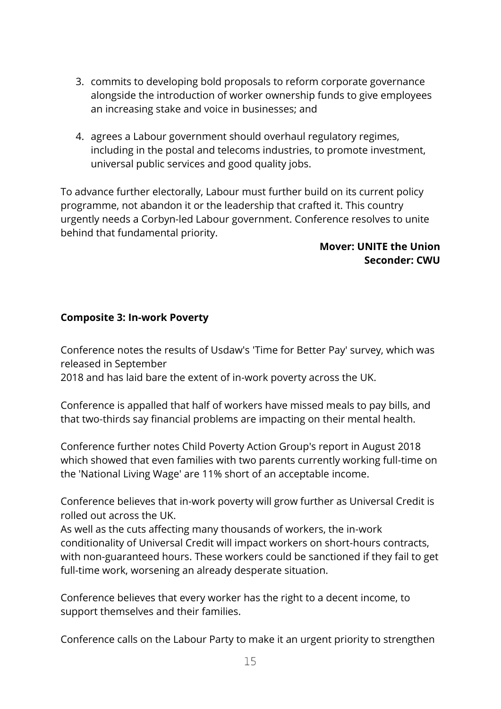- 3. commits to developing bold proposals to reform corporate governance alongside the introduction of worker ownership funds to give employees an increasing stake and voice in businesses; and
- 4. agrees a Labour government should overhaul regulatory regimes, including in the postal and telecoms industries, to promote investment, universal public services and good quality jobs.

To advance further electorally, Labour must further build on its current policy programme, not abandon it or the leadership that crafted it. This country urgently needs a Corbyn-led Labour government. Conference resolves to unite behind that fundamental priority.

### **Mover: UNITE the Union Seconder: CWU**

### **Composite 3: In-work Poverty**

Conference notes the results of Usdaw's 'Time for Better Pay' survey, which was released in September

2018 and has laid bare the extent of in-work poverty across the UK.

Conference is appalled that half of workers have missed meals to pay bills, and that two-thirds say financial problems are impacting on their mental health.

Conference further notes Child Poverty Action Group's report in August 2018 which showed that even families with two parents currently working full-time on the 'National Living Wage' are 11% short of an acceptable income.

Conference believes that in-work poverty will grow further as Universal Credit is rolled out across the UK.

As well as the cuts affecting many thousands of workers, the in-work conditionality of Universal Credit will impact workers on short-hours contracts, with non-guaranteed hours. These workers could be sanctioned if they fail to get full-time work, worsening an already desperate situation.

Conference believes that every worker has the right to a decent income, to support themselves and their families.

Conference calls on the Labour Party to make it an urgent priority to strengthen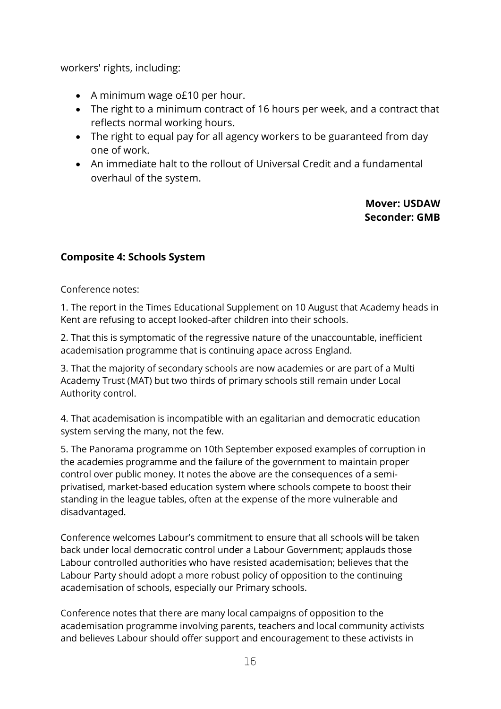workers' rights, including:

- A minimum wage o£10 per hour.
- The right to a minimum contract of 16 hours per week, and a contract that reflects normal working hours.
- The right to equal pay for all agency workers to be guaranteed from day one of work.
- An immediate halt to the rollout of Universal Credit and a fundamental overhaul of the system.

### **Mover: USDAW Seconder: GMB**

### **Composite 4: Schools System**

Conference notes:

1. The report in the Times Educational Supplement on 10 August that Academy heads in Kent are refusing to accept looked-after children into their schools.

2. That this is symptomatic of the regressive nature of the unaccountable, inefficient academisation programme that is continuing apace across England.

3. That the majority of secondary schools are now academies or are part of a Multi Academy Trust (MAT) but two thirds of primary schools still remain under Local Authority control.

4. That academisation is incompatible with an egalitarian and democratic education system serving the many, not the few.

5. The Panorama programme on 10th September exposed examples of corruption in the academies programme and the failure of the government to maintain proper control over public money. It notes the above are the consequences of a semiprivatised, market-based education system where schools compete to boost their standing in the league tables, often at the expense of the more vulnerable and disadvantaged.

Conference welcomes Labour's commitment to ensure that all schools will be taken back under local democratic control under a Labour Government; applauds those Labour controlled authorities who have resisted academisation; believes that the Labour Party should adopt a more robust policy of opposition to the continuing academisation of schools, especially our Primary schools.

Conference notes that there are many local campaigns of opposition to the academisation programme involving parents, teachers and local community activists and believes Labour should offer support and encouragement to these activists in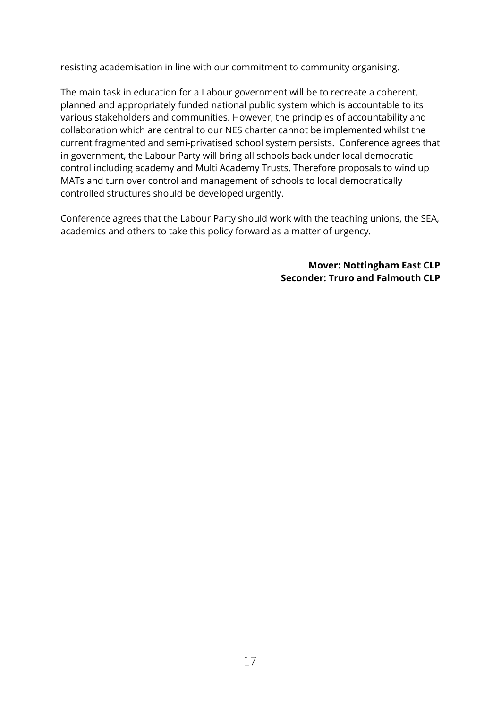resisting academisation in line with our commitment to community organising.

The main task in education for a Labour government will be to recreate a coherent, planned and appropriately funded national public system which is accountable to its various stakeholders and communities. However, the principles of accountability and collaboration which are central to our NES charter cannot be implemented whilst the current fragmented and semi-privatised school system persists. Conference agrees that in government, the Labour Party will bring all schools back under local democratic control including academy and Multi Academy Trusts. Therefore proposals to wind up MATs and turn over control and management of schools to local democratically controlled structures should be developed urgently.

Conference agrees that the Labour Party should work with the teaching unions, the SEA, academics and others to take this policy forward as a matter of urgency.

> **Mover: Nottingham East CLP Seconder: Truro and Falmouth CLP**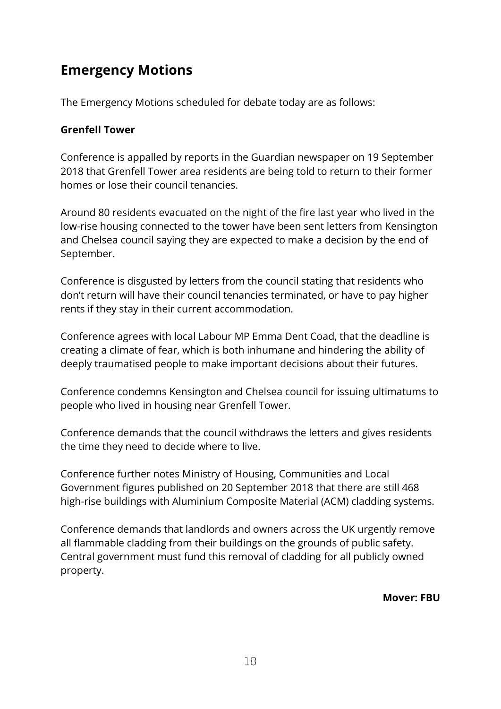# <span id="page-17-0"></span>**Emergency Motions**

The Emergency Motions scheduled for debate today are as follows:

#### **Grenfell Tower**

Conference is appalled by reports in the Guardian newspaper on 19 September 2018 that Grenfell Tower area residents are being told to return to their former homes or lose their council tenancies.

Around 80 residents evacuated on the night of the fire last year who lived in the low-rise housing connected to the tower have been sent letters from Kensington and Chelsea council saying they are expected to make a decision by the end of September.

Conference is disgusted by letters from the council stating that residents who don't return will have their council tenancies terminated, or have to pay higher rents if they stay in their current accommodation.

Conference agrees with local Labour MP Emma Dent Coad, that the deadline is creating a climate of fear, which is both inhumane and hindering the ability of deeply traumatised people to make important decisions about their futures.

Conference condemns Kensington and Chelsea council for issuing ultimatums to people who lived in housing near Grenfell Tower.

Conference demands that the council withdraws the letters and gives residents the time they need to decide where to live.

Conference further notes Ministry of Housing, Communities and Local Government figures published on 20 September 2018 that there are still 468 high-rise buildings with Aluminium Composite Material (ACM) cladding systems.

Conference demands that landlords and owners across the UK urgently remove all flammable cladding from their buildings on the grounds of public safety. Central government must fund this removal of cladding for all publicly owned property.

**Mover: FBU**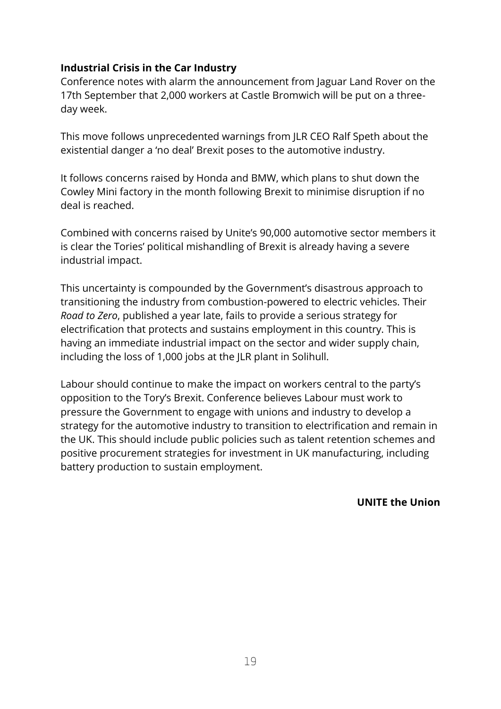### **Industrial Crisis in the Car Industry**

Conference notes with alarm the announcement from Jaguar Land Rover on the 17th September that 2,000 workers at Castle Bromwich will be put on a threeday week.

This move follows unprecedented warnings from JLR CEO Ralf Speth about the existential danger a 'no deal' Brexit poses to the automotive industry.

It follows concerns raised by Honda and BMW, which plans to shut down the Cowley Mini factory in the month following Brexit to minimise disruption if no deal is reached.

Combined with concerns raised by Unite's 90,000 automotive sector members it is clear the Tories' political mishandling of Brexit is already having a severe industrial impact.

This uncertainty is compounded by the Government's disastrous approach to transitioning the industry from combustion-powered to electric vehicles. Their *Road to Zero*, published a year late, fails to provide a serious strategy for electrification that protects and sustains employment in this country. This is having an immediate industrial impact on the sector and wider supply chain, including the loss of 1,000 jobs at the JLR plant in Solihull.

Labour should continue to make the impact on workers central to the party's opposition to the Tory's Brexit. Conference believes Labour must work to pressure the Government to engage with unions and industry to develop a strategy for the automotive industry to transition to electrification and remain in the UK. This should include public policies such as talent retention schemes and positive procurement strategies for investment in UK manufacturing, including battery production to sustain employment.

**UNITE the Union**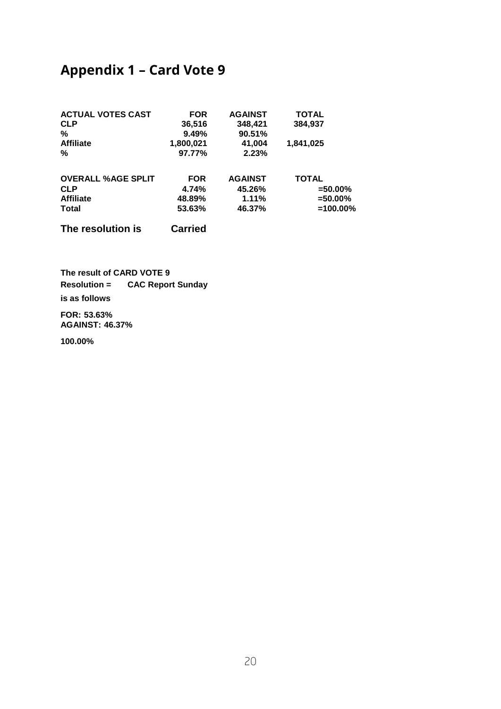# <span id="page-19-0"></span>**Appendix 1 – Card Vote 9**

| <b>ACTUAL VOTES CAST</b>  | <b>FOR</b>     | <b>AGAINST</b> | <b>TOTAL</b> |
|---------------------------|----------------|----------------|--------------|
| <b>CLP</b>                | 36,516         | 348,421        | 384,937      |
| %                         | 9.49%          | 90.51%         |              |
| <b>Affiliate</b>          | 1,800,021      | 41,004         | 1,841,025    |
| %                         | 97.77%         | 2.23%          |              |
| <b>OVERALL %AGE SPLIT</b> | <b>FOR</b>     | <b>AGAINST</b> | <b>TOTAL</b> |
| <b>CLP</b>                | 4.74%          | 45.26%         | $=50.00\%$   |
| <b>Affiliate</b>          | 48.89%         | 1.11%          | $= 50.00\%$  |
| Total                     | 53.63%         | 46.37%         | $=100.00\%$  |
| The resolution is         | <b>Carried</b> |                |              |

**The result of CARD VOTE 9 Resolution = CAC Report Sunday is as follows FOR: 53.63%**

**AGAINST: 46.37%**

**100.00%**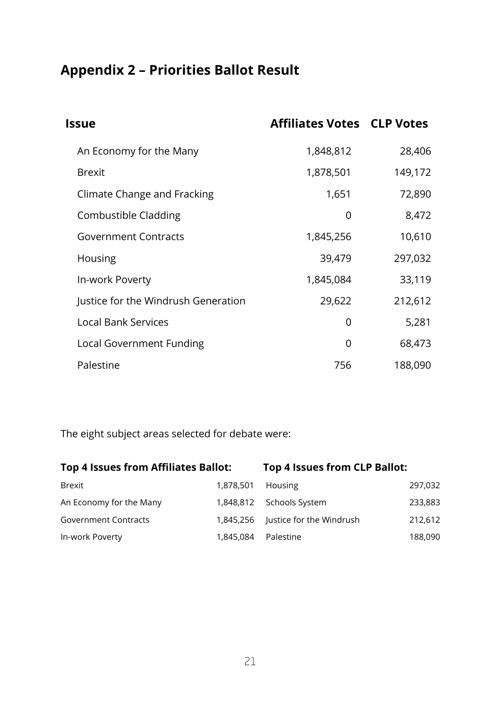# <span id="page-20-0"></span>**Appendix 2 – Priorities Ballot Result**

| <b>Issue</b>                        | <b>Affiliates Votes CLP Votes</b> |         |
|-------------------------------------|-----------------------------------|---------|
| An Economy for the Many             | 1,848,812                         | 28,406  |
| <b>Brexit</b>                       | 1,878,501                         | 149,172 |
| Climate Change and Fracking         | 1,651                             | 72,890  |
| Combustible Cladding                | 0                                 | 8,472   |
| <b>Government Contracts</b>         | 1,845,256                         | 10,610  |
| Housing                             | 39,479                            | 297,032 |
| In-work Poverty                     | 1,845,084                         | 33,119  |
| Justice for the Windrush Generation | 29,622                            | 212,612 |
| <b>Local Bank Services</b>          | 0                                 | 5,281   |
| Local Government Funding            | 0                                 | 68,473  |
| Palestine                           | 756                               | 188,090 |

The eight subject areas selected for debate were:

| Top 4 Issues from Affiliates Ballot: |           | Top 4 Issues from CLP Ballot: |         |
|--------------------------------------|-----------|-------------------------------|---------|
| <b>Brexit</b>                        | 1,878,501 | Housing                       | 297,032 |
| An Economy for the Many              | 1,848,812 | Schools System                | 233,883 |
| <b>Government Contracts</b>          | 1.845.256 | Justice for the Windrush      | 212,612 |
| In-work Poverty                      | 1,845,084 | Palestine                     | 188,090 |